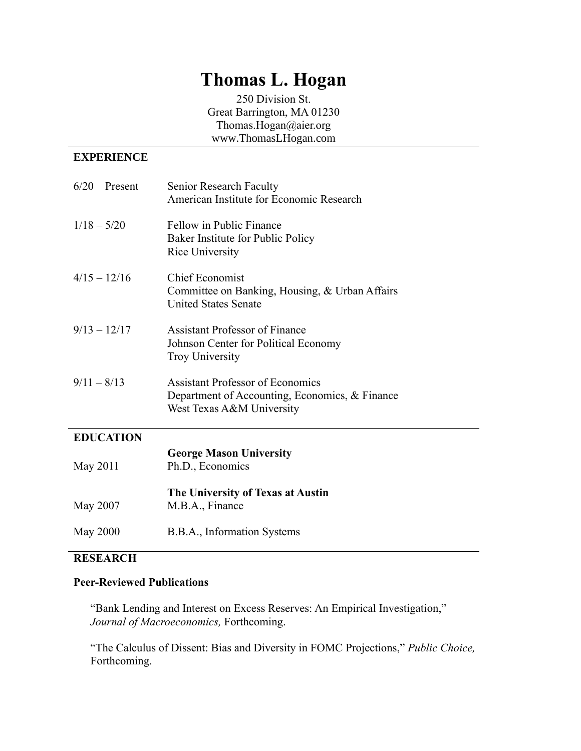# **Thomas L. Hogan**

250 Division St. Great Barrington, MA 01230 Thomas.Hogan@aier.org [www.ThomasLHogan.com](http://www.thomaslhogan.com/)

# **EXPERIENCE**

| $6/20$ – Present | Senior Research Faculty<br>American Institute for Economic Research                                                    |
|------------------|------------------------------------------------------------------------------------------------------------------------|
| $1/18 - 5/20$    | Fellow in Public Finance<br>Baker Institute for Public Policy<br>Rice University                                       |
| $4/15 - 12/16$   | <b>Chief Economist</b><br>Committee on Banking, Housing, & Urban Affairs<br><b>United States Senate</b>                |
| $9/13 - 12/17$   | <b>Assistant Professor of Finance</b><br>Johnson Center for Political Economy<br><b>Troy University</b>                |
| $9/11 - 8/13$    | <b>Assistant Professor of Economics</b><br>Department of Accounting, Economics, & Finance<br>West Texas A&M University |
| <b>EDUCATION</b> |                                                                                                                        |
| May 2011         | <b>George Mason University</b><br>Ph.D., Economics                                                                     |
| May 2007         | The University of Texas at Austin<br>M.B.A., Finance                                                                   |
| May 2000         | B.B.A., Information Systems                                                                                            |

# **RESEARCH**

#### **Peer-Reviewed Publications**

"Bank Lending and Interest on Excess Reserves: An Empirical Investigation," *Journal of Macroeconomics,* Forthcoming.

"The Calculus of Dissent: Bias and Diversity in FOMC Projections," *Public Choice,*  Forthcoming.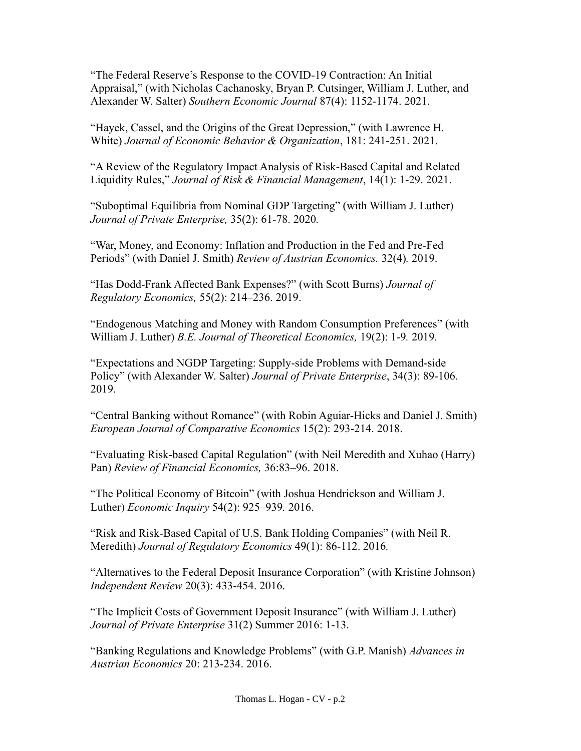"The Federal Reserve's Response to the COVID-19 Contraction: An Initial Appraisal," (with Nicholas Cachanosky, Bryan P. Cutsinger, William J. Luther, and Alexander W. Salter) *Southern Economic Journal* 87(4): 1152-1174. 2021.

"Hayek, Cassel, and the Origins of the Great Depression," (with Lawrence H. White) *Journal of Economic Behavior & Organization*, 181: 241-251. 2021.

"A Review of the Regulatory Impact Analysis of Risk-Based Capital and Related Liquidity Rules," *Journal of Risk & Financial Management*, 14(1): 1-29. 2021.

"Suboptimal Equilibria from Nominal GDP Targeting" (with William J. Luther) *Journal of Private Enterprise,* 35(2): 61-78. 2020*.*

"War, Money, and Economy: Inflation and Production in the Fed and Pre-Fed Periods" (with Daniel J. Smith) *Review of Austrian Economics.* 32(4)*.* 2019.

"Has Dodd-Frank Affected Bank Expenses?" (with Scott Burns) *Journal of Regulatory Economics,* 55(2): 214–236. 2019.

"Endogenous Matching and Money with Random Consumption Preferences" (with William J. Luther) *B.E. Journal of Theoretical Economics,* 19(2): 1-9*.* 2019*.*

"Expectations and NGDP Targeting: Supply-side Problems with Demand-side Policy" (with Alexander W. Salter) *Journal of Private Enterprise*, 34(3): 89-106. 2019.

"Central Banking without Romance" (with Robin Aguiar-Hicks and Daniel J. Smith) *European Journal of Comparative Economics* 15(2): 293-214. 2018.

"Evaluating Risk-based Capital Regulation" (with Neil Meredith and Xuhao (Harry) Pan) *Review of Financial Economics,* 36:83–96. 2018.

"The Political Economy of Bitcoin" (with Joshua Hendrickson and William J. Luther) *Economic Inquiry* 54(2): 925–939*.* 2016.

"Risk and Risk-Based Capital of U.S. Bank Holding Companies" (with Neil R. Meredith) *Journal of Regulatory Economics* 49(1): 86-112. 2016*.*

"Alternatives to the Federal Deposit Insurance Corporation" (with Kristine Johnson) *Independent Review* 20(3): 433-454. 2016.

"The Implicit Costs of Government Deposit Insurance" (with William J. Luther) *Journal of Private Enterprise* 31(2) Summer 2016: 1-13.

"Banking Regulations and Knowledge Problems" (with G.P. Manish) *Advances in Austrian Economics* 20: 213-234. 2016.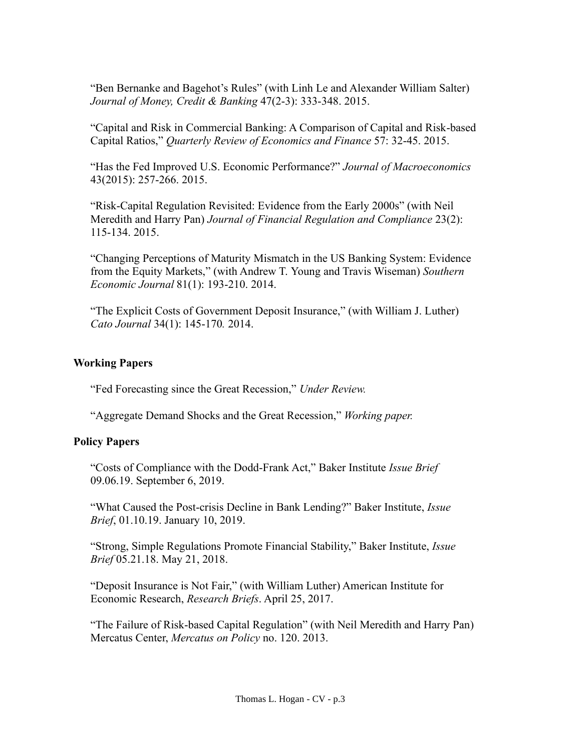"Ben Bernanke and Bagehot's Rules" (with Linh Le and Alexander William Salter) *Journal of Money, Credit & Banking* 47(2-3): 333-348. 2015.

"Capital and Risk in Commercial Banking: A Comparison of Capital and Risk-based Capital Ratios," *Quarterly Review of Economics and Finance* 57: 32-45. 2015.

"Has the Fed Improved U.S. Economic Performance?" *Journal of Macroeconomics* 43(2015): 257-266. 2015.

"Risk-Capital Regulation Revisited: Evidence from the Early 2000s" (with Neil Meredith and Harry Pan) *Journal of Financial Regulation and Compliance* 23(2): 115-134. 2015.

"Changing Perceptions of Maturity Mismatch in the US Banking System: Evidence from the Equity Markets," (with Andrew T. Young and Travis Wiseman) *Southern Economic Journal* 81(1): 193-210. 2014.

"The Explicit Costs of Government Deposit Insurance," (with William J. Luther) *Cato Journal* 34(1): 145-170*.* 2014.

# **Working Papers**

"Fed Forecasting since the Great Recession," *Under Review.*

"Aggregate Demand Shocks and the Great Recession," *Working paper.*

# **Policy Papers**

"Costs of Compliance with the Dodd-Frank Act," Baker Institute *Issue Brief* 09.06.19. September 6, 2019.

"What Caused the Post-crisis Decline in Bank Lending?" Baker Institute, *Issue Brief*, 01.10.19. January 10, 2019.

"Strong, Simple Regulations Promote Financial Stability," Baker Institute, *Issue Brief* 05.21.18. May 21, 2018.

"Deposit Insurance is Not Fair," (with William Luther) American Institute for Economic Research, *Research Briefs*. April 25, 2017.

"The Failure of Risk-based Capital Regulation" (with Neil Meredith and Harry Pan) Mercatus Center, *Mercatus on Policy* no. 120. 2013.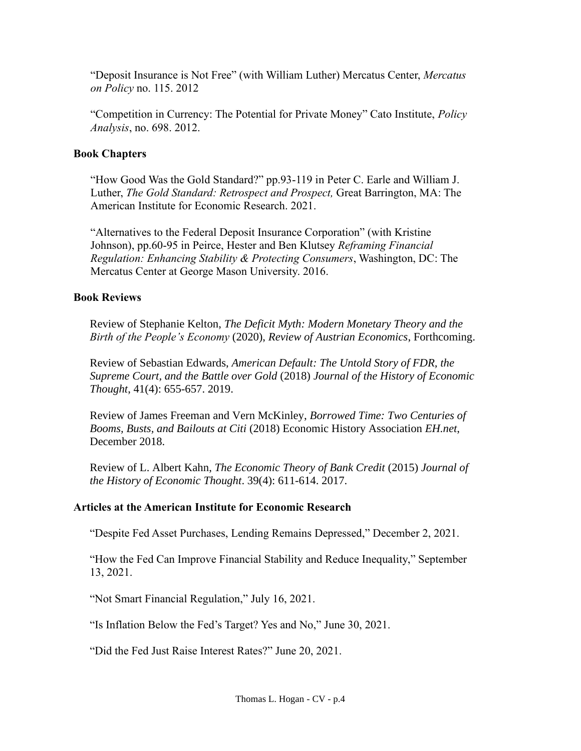"Deposit Insurance is Not Free" (with William Luther) Mercatus Center, *Mercatus on Policy* no. 115. 2012

"Competition in Currency: The Potential for Private Money" Cato Institute, *Policy Analysis*, no. 698. 2012.

#### **Book Chapters**

"How Good Was the Gold Standard?" pp.93-119 in Peter C. Earle and William J. Luther, *The Gold Standard: Retrospect and Prospect,* Great Barrington, MA: The American Institute for Economic Research. 2021.

"Alternatives to the Federal Deposit Insurance Corporation" (with Kristine Johnson), pp.60-95 in Peirce, Hester and Ben Klutsey *Reframing Financial Regulation: Enhancing Stability & Protecting Consumers*, Washington, DC: The Mercatus Center at George Mason University. 2016.

#### **Book Reviews**

Review of Stephanie Kelton, *The Deficit Myth: Modern Monetary Theory and the Birth of the People's Economy* (2020), *Review of Austrian Economics*, Forthcoming.

Review of Sebastian Edwards, *American Default: The Untold Story of FDR, the Supreme Court, and the Battle over Gold* (2018) *Journal of the History of Economic Thought*, 41(4): 655-657. 2019.

Review of James Freeman and Vern McKinley, *Borrowed Time: Two Centuries of Booms, Busts, and Bailouts at Citi* (2018) Economic History Association *EH.net*, December 2018.

Review of L. Albert Kahn, *The Economic Theory of Bank Credit* (2015) *Journal of the History of Economic Thought*. 39(4): 611-614. 2017.

#### **Articles at the American Institute for Economic Research**

"Despite Fed Asset Purchases, Lending Remains Depressed," December 2, 2021.

"How the Fed Can Improve Financial Stability and Reduce Inequality," September 13, 2021.

"Not Smart Financial Regulation," July 16, 2021.

"Is Inflation Below the Fed's Target? Yes and No," June 30, 2021.

"Did the Fed Just Raise Interest Rates?" June 20, 2021.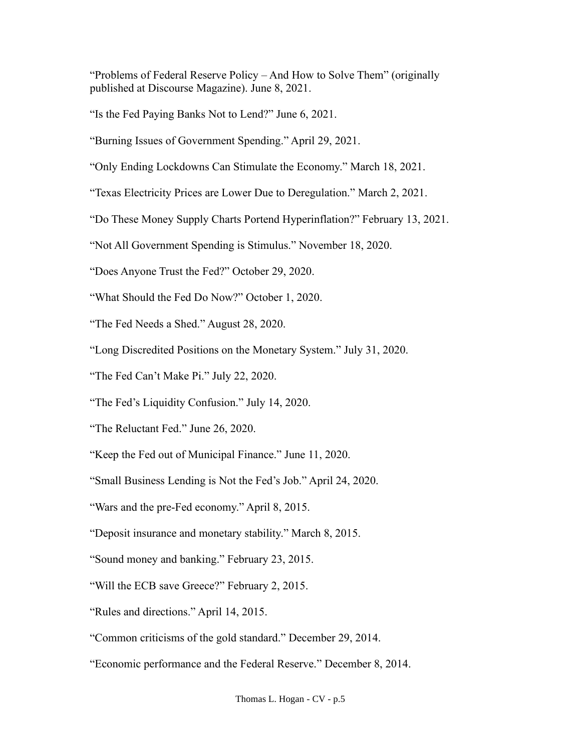"Problems of Federal Reserve Policy – And How to Solve Them" (originally published at Discourse Magazine). June 8, 2021.

"Is the Fed Paying Banks Not to Lend?" June 6, 2021.

"Burning Issues of Government Spending." April 29, 2021.

"Only Ending Lockdowns Can Stimulate the Economy." March 18, 2021.

"Texas Electricity Prices are Lower Due to Deregulation." March 2, 2021.

"Do These Money Supply Charts Portend Hyperinflation?" February 13, 2021.

"Not All Government Spending is Stimulus." November 18, 2020.

"Does Anyone Trust the Fed?" October 29, 2020.

"What Should the Fed Do Now?" October 1, 2020.

"The Fed Needs a Shed." August 28, 2020.

"Long Discredited Positions on the Monetary System." July 31, 2020.

"The Fed Can't Make Pi." July 22, 2020.

"The Fed's Liquidity Confusion." July 14, 2020.

"The Reluctant Fed." June 26, 2020.

"Keep the Fed out of Municipal Finance." June 11, 2020.

"Small Business Lending is Not the Fed's Job." April 24, 2020.

"Wars and the pre-Fed economy." April 8, 2015.

"Deposit insurance and monetary stability." March 8, 2015.

"Sound money and banking." February 23, 2015.

"Will the ECB save Greece?" February 2, 2015.

"Rules and directions." April 14, 2015.

"Common criticisms of the gold standard." December 29, 2014.

"Economic performance and the Federal Reserve." December 8, 2014.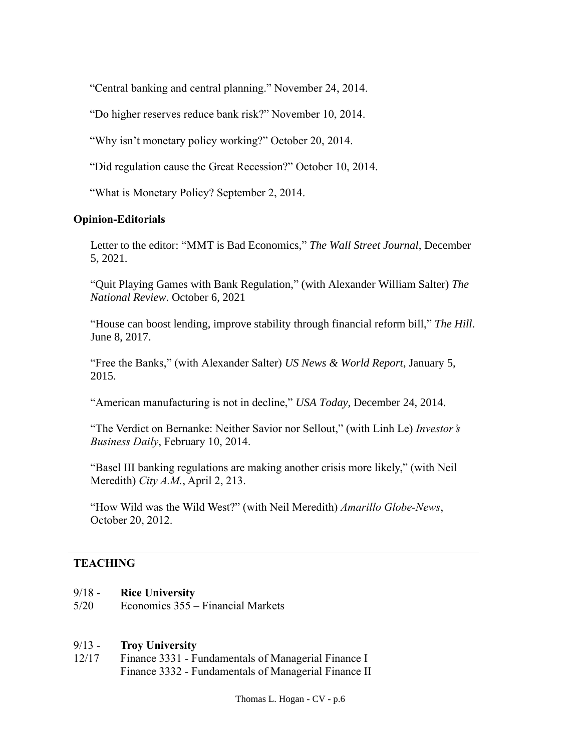"Central banking and central planning." November 24, 2014.

"Do higher reserves reduce bank risk?" November 10, 2014.

"Why isn't monetary policy working?" October 20, 2014.

"Did regulation cause the Great Recession?" October 10, 2014.

"What is Monetary Policy? September 2, 2014.

#### **Opinion-Editorials**

Letter to the editor: "MMT is Bad Economics," *The Wall Street Journal*, December 5, 2021.

"Quit Playing Games with Bank Regulation," (with Alexander William Salter) *The National Review*. October 6, 2021

"House can boost lending, improve stability through financial reform bill," *The Hill*. June 8, 2017.

"Free the Banks," (with Alexander Salter) *US News & World Report*, January 5, 2015.

"American manufacturing is not in decline," *USA Today*, December 24, 2014.

"The Verdict on Bernanke: Neither Savior nor Sellout," (with Linh Le) *Investor's Business Daily*, February 10, 2014.

"Basel III banking regulations are making another crisis more likely," (with Neil Meredith) *City A.M.*, April 2, 213.

"How Wild was the Wild West?" (with Neil Meredith) *Amarillo Globe-News*, October 20, 2012.

# **TEACHING**

- 9/18 **Rice University**
- 5/20 Economics 355 Financial Markets

#### 9/13 - **Troy University**

12/17 Finance 3331 - Fundamentals of Managerial Finance I Finance 3332 - Fundamentals of Managerial Finance II

Thomas L. Hogan - CV - p.6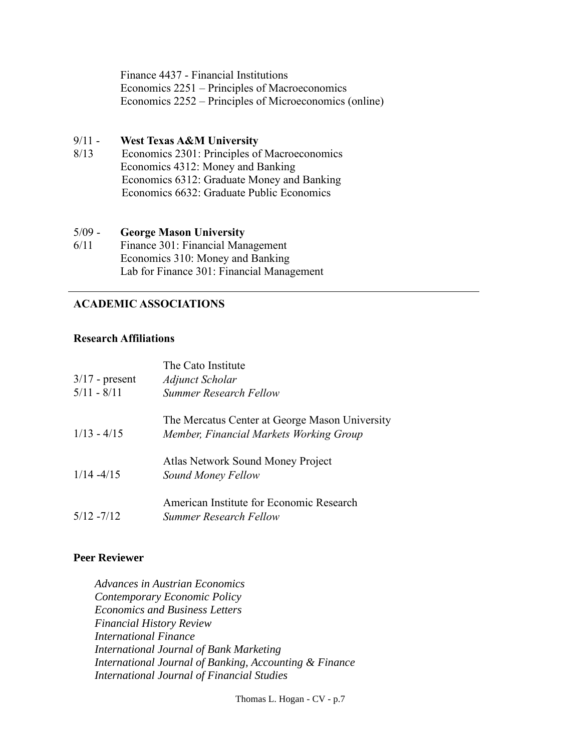Finance 4437 - Financial Institutions Economics 2251 – Principles of Macroeconomics Economics 2252 – Principles of Microeconomics (online)

#### 9/11 - **West Texas A&M University**

8/13 Economics 2301: Principles of Macroeconomics Economics 4312: Money and Banking Economics 6312: Graduate Money and Banking Economics 6632: Graduate Public Economics

#### 5/09 - **George Mason University**

6/11 Finance 301: Financial Management Economics 310: Money and Banking Lab for Finance 301: Financial Management

# • **ACADEMIC ASSOCIATIONS**

#### **Research Affiliations**

| $3/17$ - present<br>$5/11 - 8/11$ | The Cato Institute<br>Adjunct Scholar<br><b>Summer Research Fellow</b>                    |
|-----------------------------------|-------------------------------------------------------------------------------------------|
| $1/13 - 4/15$                     | The Mercatus Center at George Mason University<br>Member, Financial Markets Working Group |
| $1/14 - 4/15$                     | Atlas Network Sound Money Project<br>Sound Money Fellow                                   |
| $5/12 - 7/12$                     | American Institute for Economic Research<br><b>Summer Research Fellow</b>                 |

# **Peer Reviewer**

*Advances in Austrian Economics Contemporary Economic Policy Economics and Business Letters Financial History Review International Finance International Journal of Bank Marketing International Journal of Banking, Accounting & Finance International Journal of Financial Studies*

Thomas L. Hogan - CV - p.7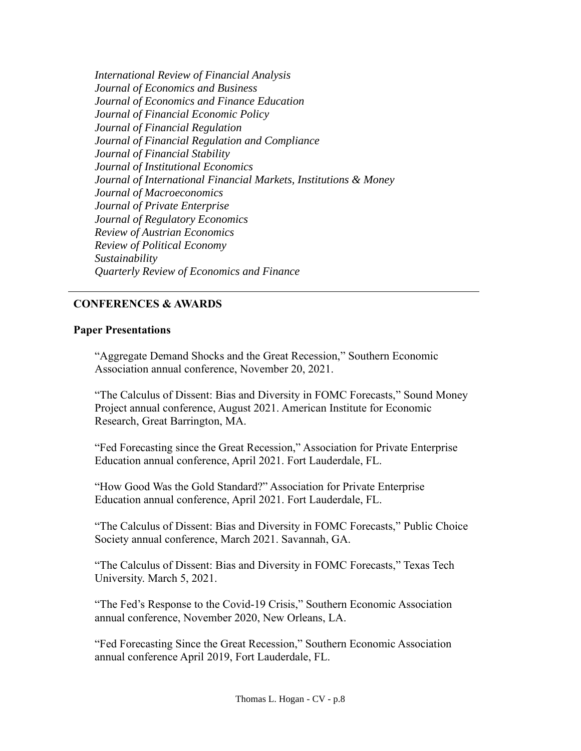*International Review of Financial Analysis Journal of Economics and Business Journal of Economics and Finance Education Journal of Financial Economic Policy Journal of Financial Regulation Journal of Financial Regulation and Compliance Journal of Financial Stability Journal of Institutional Economics Journal of International Financial Markets, Institutions & Money Journal of Macroeconomics Journal of Private Enterprise Journal of Regulatory Economics Review of Austrian Economics Review of Political Economy Sustainability Quarterly Review of Economics and Finance*

# • **CONFERENCES & AWARDS**

#### **Paper Presentations**

"Aggregate Demand Shocks and the Great Recession," Southern Economic Association annual conference, November 20, 2021.

"The Calculus of Dissent: Bias and Diversity in FOMC Forecasts," Sound Money Project annual conference, August 2021. American Institute for Economic Research, Great Barrington, MA.

"Fed Forecasting since the Great Recession," Association for Private Enterprise Education annual conference, April 2021. Fort Lauderdale, FL.

"How Good Was the Gold Standard?" Association for Private Enterprise Education annual conference, April 2021. Fort Lauderdale, FL.

"The Calculus of Dissent: Bias and Diversity in FOMC Forecasts," Public Choice Society annual conference, March 2021. Savannah, GA.

"The Calculus of Dissent: Bias and Diversity in FOMC Forecasts," Texas Tech University. March 5, 2021.

"The Fed's Response to the Covid-19 Crisis," Southern Economic Association annual conference, November 2020, New Orleans, LA.

"Fed Forecasting Since the Great Recession," Southern Economic Association annual conference April 2019, Fort Lauderdale, FL.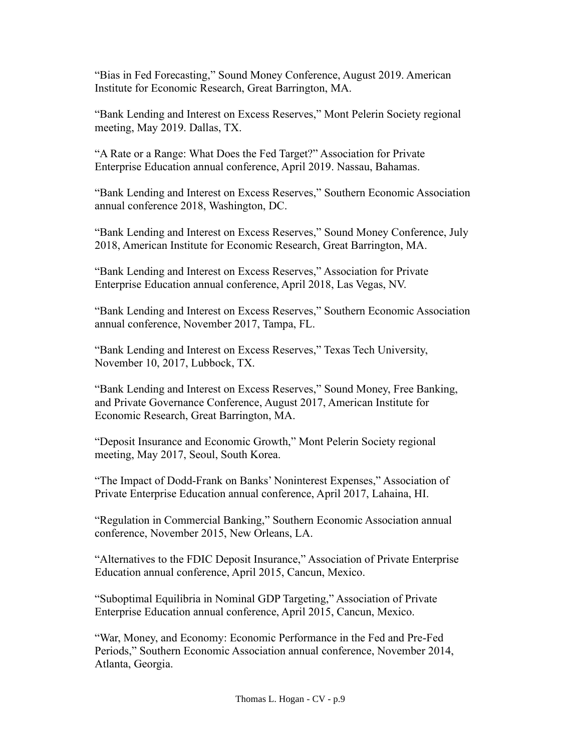"Bias in Fed Forecasting," Sound Money Conference, August 2019. American Institute for Economic Research, Great Barrington, MA.

"Bank Lending and Interest on Excess Reserves," Mont Pelerin Society regional meeting, May 2019. Dallas, TX.

"A Rate or a Range: What Does the Fed Target?" Association for Private Enterprise Education annual conference, April 2019. Nassau, Bahamas.

"Bank Lending and Interest on Excess Reserves," Southern Economic Association annual conference 2018, Washington, DC.

"Bank Lending and Interest on Excess Reserves," Sound Money Conference, July 2018, American Institute for Economic Research, Great Barrington, MA.

"Bank Lending and Interest on Excess Reserves," Association for Private Enterprise Education annual conference, April 2018, Las Vegas, NV.

"Bank Lending and Interest on Excess Reserves," Southern Economic Association annual conference, November 2017, Tampa, FL.

"Bank Lending and Interest on Excess Reserves," Texas Tech University, November 10, 2017, Lubbock, TX.

"Bank Lending and Interest on Excess Reserves," Sound Money, Free Banking, and Private Governance Conference, August 2017, American Institute for Economic Research, Great Barrington, MA.

"Deposit Insurance and Economic Growth," Mont Pelerin Society regional meeting, May 2017, Seoul, South Korea.

"The Impact of Dodd-Frank on Banks' Noninterest Expenses," Association of Private Enterprise Education annual conference, April 2017, Lahaina, HI.

"Regulation in Commercial Banking," Southern Economic Association annual conference, November 2015, New Orleans, LA.

"Alternatives to the FDIC Deposit Insurance," Association of Private Enterprise Education annual conference, April 2015, Cancun, Mexico.

"Suboptimal Equilibria in Nominal GDP Targeting," Association of Private Enterprise Education annual conference, April 2015, Cancun, Mexico.

"War, Money, and Economy: Economic Performance in the Fed and Pre-Fed Periods," Southern Economic Association annual conference, November 2014, Atlanta, Georgia.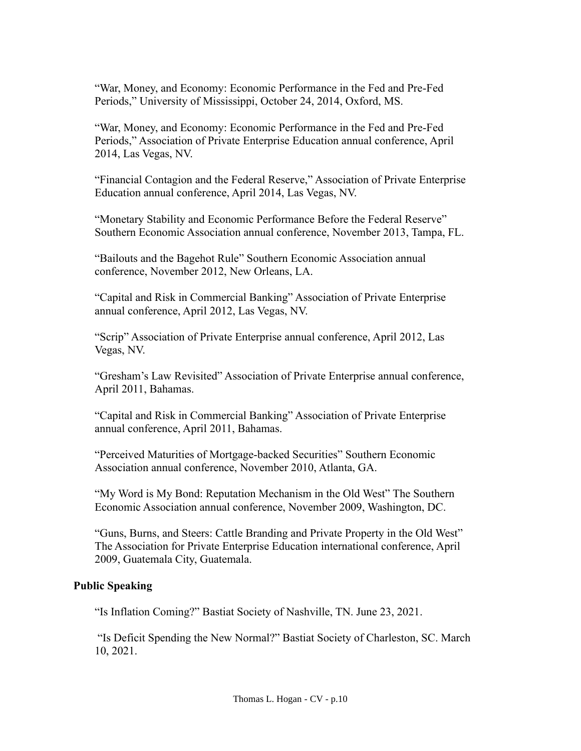"War, Money, and Economy: Economic Performance in the Fed and Pre-Fed Periods," University of Mississippi, October 24, 2014, Oxford, MS.

"War, Money, and Economy: Economic Performance in the Fed and Pre-Fed Periods," Association of Private Enterprise Education annual conference, April 2014, Las Vegas, NV.

"Financial Contagion and the Federal Reserve," Association of Private Enterprise Education annual conference, April 2014, Las Vegas, NV.

"Monetary Stability and Economic Performance Before the Federal Reserve" Southern Economic Association annual conference, November 2013, Tampa, FL.

"Bailouts and the Bagehot Rule" Southern Economic Association annual conference, November 2012, New Orleans, LA.

"Capital and Risk in Commercial Banking" Association of Private Enterprise annual conference, April 2012, Las Vegas, NV.

"Scrip" Association of Private Enterprise annual conference, April 2012, Las Vegas, NV.

"Gresham's Law Revisited" Association of Private Enterprise annual conference, April 2011, Bahamas.

"Capital and Risk in Commercial Banking" Association of Private Enterprise annual conference, April 2011, Bahamas.

"Perceived Maturities of Mortgage-backed Securities" Southern Economic Association annual conference, November 2010, Atlanta, GA.

"My Word is My Bond: Reputation Mechanism in the Old West" The Southern Economic Association annual conference, November 2009, Washington, DC.

"Guns, Burns, and Steers: Cattle Branding and Private Property in the Old West" The Association for Private Enterprise Education international conference, April 2009, Guatemala City, Guatemala.

# **Public Speaking**

"Is Inflation Coming?" Bastiat Society of Nashville, TN. June 23, 2021.

"Is Deficit Spending the New Normal?" Bastiat Society of Charleston, SC. March 10, 2021.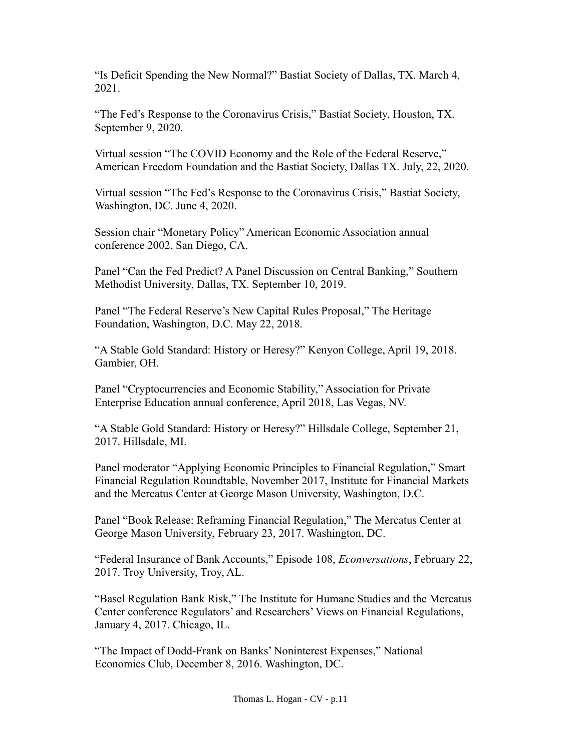"Is Deficit Spending the New Normal?" Bastiat Society of Dallas, TX. March 4, 2021.

"The Fed's Response to the Coronavirus Crisis," Bastiat Society, Houston, TX. September 9, 2020.

Virtual session "The COVID Economy and the Role of the Federal Reserve," American Freedom Foundation and the Bastiat Society, Dallas TX. July, 22, 2020.

Virtual session "The Fed's Response to the Coronavirus Crisis," Bastiat Society, Washington, DC. June 4, 2020.

Session chair "Monetary Policy" American Economic Association annual conference 2002, San Diego, CA.

Panel "Can the Fed Predict? A Panel Discussion on Central Banking," Southern Methodist University, Dallas, TX. September 10, 2019.

Panel "The Federal Reserve's New Capital Rules Proposal," The Heritage Foundation, Washington, D.C. May 22, 2018.

"A Stable Gold Standard: History or Heresy?" Kenyon College, April 19, 2018. Gambier, OH.

Panel "Cryptocurrencies and Economic Stability," Association for Private Enterprise Education annual conference, April 2018, Las Vegas, NV.

"A Stable Gold Standard: History or Heresy?" Hillsdale College, September 21, 2017. Hillsdale, MI.

Panel moderator "Applying Economic Principles to Financial Regulation," Smart Financial Regulation Roundtable, November 2017, Institute for Financial Markets and the Mercatus Center at George Mason University, Washington, D.C.

Panel "Book Release: Reframing Financial Regulation," The Mercatus Center at George Mason University, February 23, 2017. Washington, DC.

"Federal Insurance of Bank Accounts," Episode 108, *Econversations*, February 22, 2017. Troy University, Troy, AL.

"Basel Regulation Bank Risk," The Institute for Humane Studies and the Mercatus Center conference Regulators' and Researchers' Views on Financial Regulations, January 4, 2017. Chicago, IL.

"The Impact of Dodd-Frank on Banks' Noninterest Expenses," National Economics Club, December 8, 2016. Washington, DC.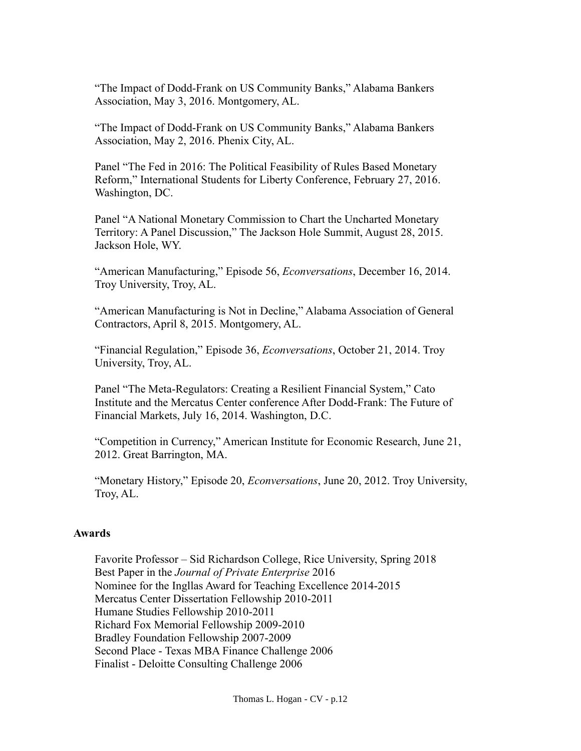"The Impact of Dodd-Frank on US Community Banks," Alabama Bankers Association, May 3, 2016. Montgomery, AL.

"The Impact of Dodd-Frank on US Community Banks," Alabama Bankers Association, May 2, 2016. Phenix City, AL.

Panel "The Fed in 2016: The Political Feasibility of Rules Based Monetary Reform," International Students for Liberty Conference, February 27, 2016. Washington, DC.

Panel "A National Monetary Commission to Chart the Uncharted Monetary Territory: A Panel Discussion," The Jackson Hole Summit, August 28, 2015. Jackson Hole, WY.

"American Manufacturing," Episode 56, *Econversations*, December 16, 2014. Troy University, Troy, AL.

"American Manufacturing is Not in Decline," Alabama Association of General Contractors, April 8, 2015. Montgomery, AL.

"Financial Regulation," Episode 36, *Econversations*, October 21, 2014. Troy University, Troy, AL.

Panel "The Meta-Regulators: Creating a Resilient Financial System," Cato Institute and the Mercatus Center conference After Dodd-Frank: The Future of Financial Markets, July 16, 2014. Washington, D.C.

"Competition in Currency," American Institute for Economic Research, June 21, 2012. Great Barrington, MA.

"Monetary History," Episode 20, *Econversations*, June 20, 2012. Troy University, Troy, AL.

#### **Awards**

Favorite Professor – Sid Richardson College, Rice University, Spring 2018 Best Paper in the *Journal of Private Enterprise* 2016 Nominee for the Ingllas Award for Teaching Excellence 2014-2015 Mercatus Center Dissertation Fellowship 2010-2011 Humane Studies Fellowship 2010-2011 Richard Fox Memorial Fellowship 2009-2010 Bradley Foundation Fellowship 2007-2009 Second Place - Texas MBA Finance Challenge 2006 Finalist - Deloitte Consulting Challenge 2006